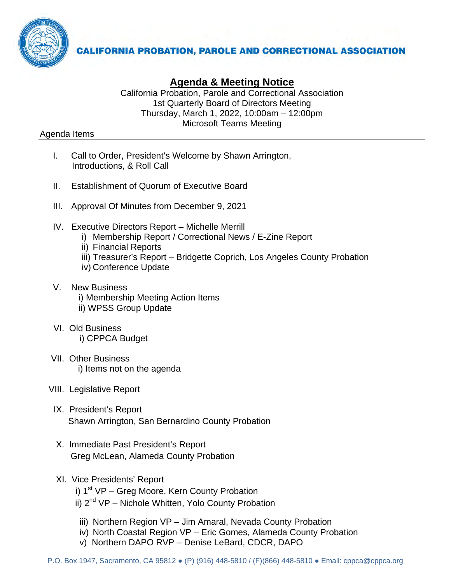

# **Agenda & Meeting Notice**

California Probation, Parole and Correctional Association 1st Quarterly Board of Directors Meeting Thursday, March 1, 2022, 10:00am – 12:00pm Microsoft Teams Meeting

## Agenda Items

- I. Call to Order, President's Welcome by Shawn Arrington, Introductions, & Roll Call
- II. Establishment of Quorum of Executive Board
- III. Approval Of Minutes from December 9, 2021
- IV. Executive Directors Report Michelle Merrill
	- i) Membership Report / Correctional News / E-Zine Report
	- ii) Financial Reports
	- iii) Treasurer's Report Bridgette Coprich, Los Angeles County Probation
	- iv) Conference Update
- V. New Business
	- i) Membership Meeting Action Items
	- ii) WPSS Group Update
- VI. Old Business i) CPPCA Budget
- VII. Other Business i) Items not on the agenda
- VIII. Legislative Report
	- IX. President's Report Shawn Arrington, San Bernardino County Probation
	- X. Immediate Past President's Report Greg McLean, Alameda County Probation
	- XI. Vice Presidents' Report
		- i)  $1<sup>st</sup> VP Greg Moore, Kern County Problem$
		- ii) 2<sup>nd</sup> VP Nichole Whitten, Yolo County Probation
		- iii) Northern Region VP Jim Amaral, Nevada County Probation
		- iv) North Coastal Region VP Eric Gomes, Alameda County Probation
		- v) Northern DAPO RVP Denise LeBard, CDCR, DAPO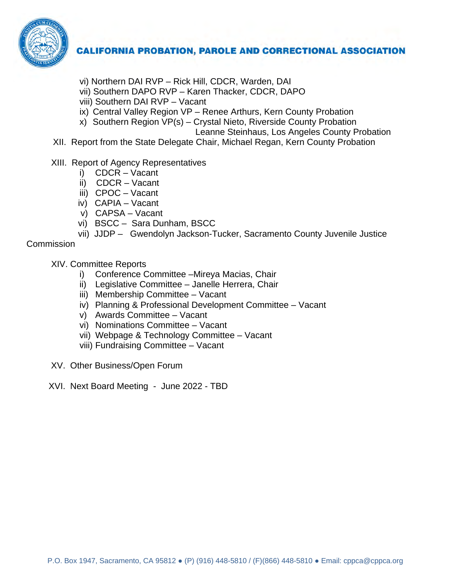

- vi) Northern DAI RVP Rick Hill, CDCR, Warden, DAI
- vii) Southern DAPO RVP Karen Thacker, CDCR, DAPO
- viii) Southern DAI RVP Vacant
- ix) Central Valley Region VP Renee Arthurs, Kern County Probation
- x) Southern Region VP(s) Crystal Nieto, Riverside County Probation
	- Leanne Steinhaus, Los Angeles County Probation
- XII. Report from the State Delegate Chair, Michael Regan, Kern County Probation
- XIII. Report of Agency Representatives
	- i) CDCR Vacant
	- ii) CDCR Vacant
	- iii) CPOC Vacant
	- iv) CAPIA Vacant
	- v) CAPSA Vacant
	- vi) BSCC Sara Dunham, BSCC
	- vii) JJDP Gwendolyn Jackson-Tucker, Sacramento County Juvenile Justice

## **Commission**

XIV. Committee Reports

- i) Conference Committee –Mireya Macias, Chair
- ii) Legislative Committee Janelle Herrera, Chair
- iii) Membership Committee Vacant
- iv) Planning & Professional Development Committee Vacant
- v) Awards Committee Vacant
- vi) Nominations Committee Vacant
- vii) Webpage & Technology Committee Vacant
- viii) Fundraising Committee Vacant
- XV. Other Business/Open Forum
- XVI. Next Board Meeting June 2022 TBD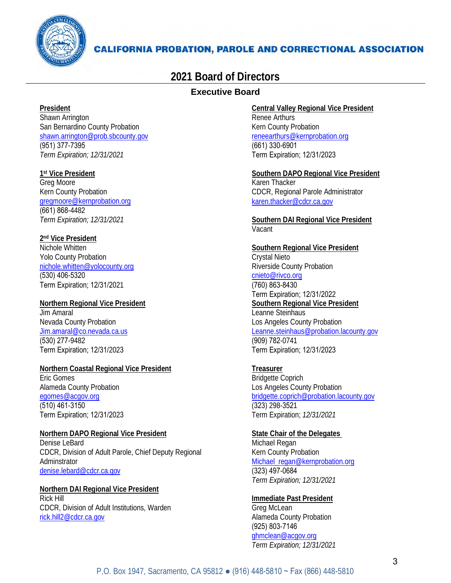

# **2021 Board of Directors**

## **Executive Board**

#### **President**

Shawn Arrington San Bernardino County Probation shawn.arrington@prob.sbcounty.gov (951) 377-7395 *Term Expiration; 12/31/2021*

#### **1st Vice President**

Greg Moore Kern County Probation [gregmoore@kernprobation.org](mailto:gregmoore@kernprobation.org) (661) 868-4482 *Term Expiration; 12/31/2021*

#### **2nd Vice President**

Nichole Whitten Yolo County Probation [nichole.whitten@yolocounty.org](mailto:nichole.whitten@yolocounty.org) (530) 406-5320 Term Expiration; 12/31/2021

#### **Northern Regional Vice President** Jim Amaral Nevada County Probation [Jim.amaral@co.nevada.ca.us](mailto:Jim.amaral@co.nevada.ca.us) (530) 277-9482 Term Expiration; 12/31/2023

#### **Northern Coastal Regional Vice President** Eric Gomes Alameda County Probation [egomes@acgov.org](mailto:egomes@acgov.org)  (510) 461-3150 Term Expiration; 12/31/2023

#### **Northern DAPO Regional Vice President**

Denise LeBard CDCR, Division of Adult Parole, Chief Deputy Regional Adminstrator [denise.lebard@cdcr.ca.gov](mailto:denise.lebard@cdcr.ca.gov)

#### **Northern DAI Regional Vice President** Rick Hill CDCR, Division of Adult Institutions, Warden [rick.hill2@cdcr.ca.gov](mailto:rick.hill2@cdcr.ca.gov)

**Central Valley Regional Vice President** Renee Arthurs Kern County Probation [reneearthurs@kernprobation.org](mailto:reneearthurs@kernprobation.org)

(661) 330-6901 Term Expiration; 12/31/2023

#### **Southern DAPO Regional Vice President** Karen Thacker CDCR, Regional Parole Administrator [karen.thacker@cdcr.ca.gov](mailto:karen.thacker@cdcr.ca.gov)

**Southern DAI Regional Vice President** Vacant

#### **Southern Regional Vice President** Crystal Nieto Riverside County Probation [cnieto@rivco.org](mailto:cnieto@rivco.org)  (760) 863-8430 Term Expiration; 12/31/2022 **Southern Regional Vice President** Leanne Steinhaus Los Angeles County Probation [Leanne.steinhaus@probation.lacounty.gov](mailto:Leanne.steinhaus@probation.lacounty.gov) (909) 782-0741

Term Expiration; 12/31/2023

#### **Treasurer** Bridgette Coprich Los Angeles County Probation [bridgette.coprich@probation.lacounty.gov](mailto:bridgette.coprich@probation.lacounty.gov) (323) 298-3521 Term Expiration; *12/31/2021*

#### **State Chair of the Delegates**

Michael Regan Kern County Probation [Michael\\_regan@kernprobation.org](mailto:Michael_regan@kernprobation.org) (323) 497-0684 *Term Expiration; 12/31/2021*

## **Immediate Past President**

Greg McLean Alameda County Probation (925) 803-7146 [ghmclean@acgov.org](mailto:ghmclean@acgov.org) *Term Expiration; 12/31/2021*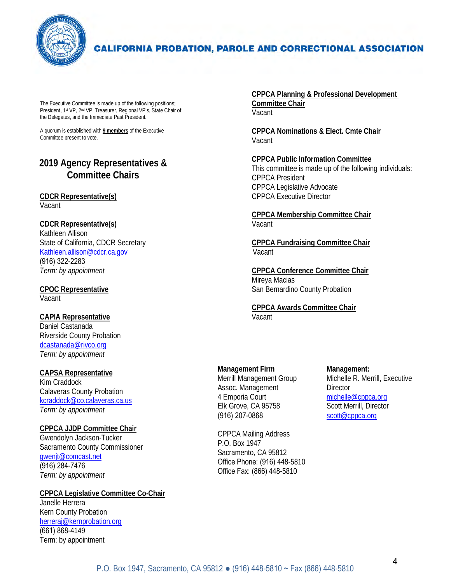

The Executive Committee is made up of the following positions; President, 1st VP, 2nd VP, Treasurer, Regional VP's, State Chair of the Delegates, and the Immediate Past President.

A quorum is established with **9 members** of the Executive Committee present to vote.

# **2019 Agency Representatives & Committee Chairs**

#### **CDCR Representative(s)** Vacant

#### **CDCR Representative(s)**

Kathleen Allison State of California, CDCR Secretary [Kathleen.allison@cdcr.ca.gov](mailto:Kathleen.allison@cdcr.ca.gov) (916) 322-2283 *Term: by appointment*

**CPOC Representative** Vacant

#### **CAPIA Representative** Daniel Castanada Riverside County Probation [dcastanada@rivco.org](mailto:dcastanada@rivco.org)  *Term: by appointment*

#### **CAPSA Representative**

Kim Craddock Calaveras County Probation [kcraddock@co.calaveras.ca.us](mailto:kcraddock@co.calaveras.ca.us) *Term: by appointment*

#### **CPPCA JJDP Committee Chair**

Gwendolyn Jackson-Tucker Sacramento County Commissioner [gwenjt@comcast.net](mailto:gwenjt@comcast.net) (916) 284-7476 *Term: by appointment*

#### **CPPCA Legislative Committee Co-Chair** Janelle Herrera Kern County Probation [herreraj@kernprobation.org](mailto:herreraj@kernprobation.org)

(661) 868-4149 Term: by appointment **CPPCA Planning & Professional Development Committee Chair** Vacant

**CPPCA Nominations & Elect. Cmte Chair** Vacant

**CPPCA Public Information Committee** This committee is made up of the following individuals: CPPCA President CPPCA Legislative Advocate CPPCA Executive Director

**CPPCA Membership Committee Chair** Vacant

**CPPCA Fundraising Committee Chair** Vacant

**CPPCA Conference Committee Chair** Mireya Macias San Bernardino County Probation

**CPPCA Awards Committee Chair Vacant** 

# **Management Firm**

Merrill Management Group Assoc. Management 4 Emporia Court Elk Grove, CA 95758 (916) 207-0868

CPPCA Mailing Address P.O. Box 1947 Sacramento, CA 95812 Office Phone: (916) 448-5810 Office Fax: (866) 448-5810

**Management:** Michelle R. Merrill, Executive **Director** [michelle@cppca.org](mailto:michelle@cppca.org)  Scott Merrill, Director scott@cppca.org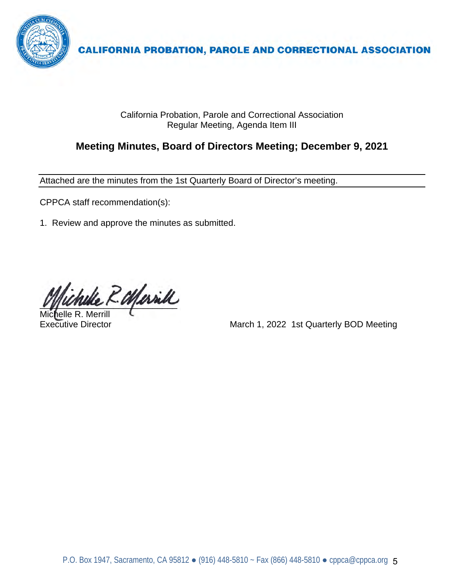

California Probation, Parole and Correctional Association Regular Meeting, Agenda Item III

# **Meeting Minutes, Board of Directors Meeting; December 9, 2021**

Attached are the minutes from the 1st Quarterly Board of Director's meeting.

CPPCA staff recommendation(s):

1. Review and approve the minutes as submitted.

R. Marill

Michelle R. Merrill

Executive Director **Executive Director** March 1, 2022 1st Quarterly BOD Meeting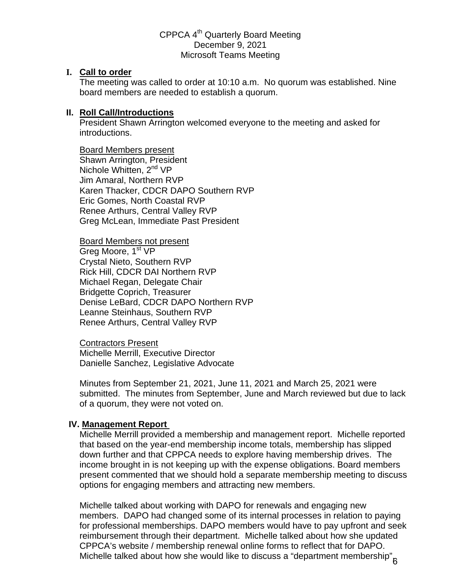## CPPCA 4<sup>th</sup> Quarterly Board Meeting December 9, 2021 Microsoft Teams Meeting

#### **I. Call to order**

The meeting was called to order at 10:10 a.m. No quorum was established. Nine board members are needed to establish a quorum.

### **II. Roll Call/Introductions**

President Shawn Arrington welcomed everyone to the meeting and asked for introductions.

 Board Members present Shawn Arrington, President Nichole Whitten, 2<sup>nd</sup> VP Jim Amaral, Northern RVP Karen Thacker, CDCR DAPO Southern RVP Eric Gomes, North Coastal RVP Renee Arthurs, Central Valley RVP Greg McLean, Immediate Past President

Board Members not present Greg Moore, 1<sup>st</sup> VP Crystal Nieto, Southern RVP Rick Hill, CDCR DAI Northern RVP Michael Regan, Delegate Chair Bridgette Coprich, Treasurer Denise LeBard, CDCR DAPO Northern RVP Leanne Steinhaus, Southern RVP Renee Arthurs, Central Valley RVP

Contractors Present Michelle Merrill, Executive Director Danielle Sanchez, Legislative Advocate

Minutes from September 21, 2021, June 11, 2021 and March 25, 2021 were submitted. The minutes from September, June and March reviewed but due to lack of a quorum, they were not voted on.

## **IV. Management Report**

Michelle Merrill provided a membership and management report. Michelle reported that based on the year-end membership income totals, membership has slipped down further and that CPPCA needs to explore having membership drives. The income brought in is not keeping up with the expense obligations. Board members present commented that we should hold a separate membership meeting to discuss options for engaging members and attracting new members.

Michelle talked about working with DAPO for renewals and engaging new members. DAPO had changed some of its internal processes in relation to paying for professional memberships. DAPO members would have to pay upfront and seek reimbursement through their department. Michelle talked about how she updated CPPCA's website / membership renewal online forms to reflect that for DAPO. Michelle talked about how she would like to discuss a "department membership" $_6^{\circ}$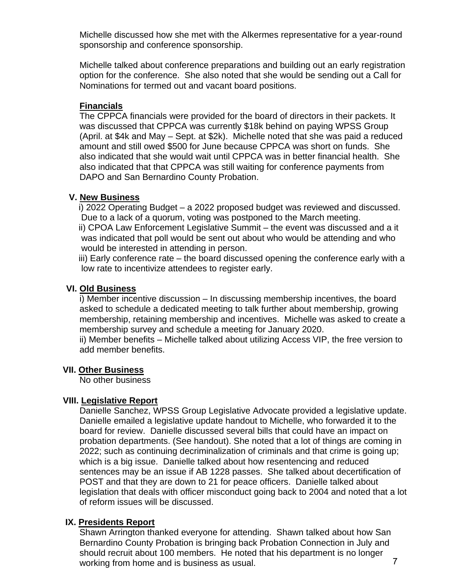Michelle discussed how she met with the Alkermes representative for a year-round sponsorship and conference sponsorship.

Michelle talked about conference preparations and building out an early registration option for the conference. She also noted that she would be sending out a Call for Nominations for termed out and vacant board positions.

## **Financials**

The CPPCA financials were provided for the board of directors in their packets. It was discussed that CPPCA was currently \$18k behind on paying WPSS Group (April. at \$4k and May – Sept. at \$2k). Michelle noted that she was paid a reduced amount and still owed \$500 for June because CPPCA was short on funds. She also indicated that she would wait until CPPCA was in better financial health. She also indicated that that CPPCA was still waiting for conference payments from DAPO and San Bernardino County Probation.

## **V. New Business**

 i) 2022 Operating Budget – a 2022 proposed budget was reviewed and discussed. Due to a lack of a quorum, voting was postponed to the March meeting.

 ii) CPOA Law Enforcement Legislative Summit – the event was discussed and a it was indicated that poll would be sent out about who would be attending and who would be interested in attending in person.

 iii) Early conference rate – the board discussed opening the conference early with a low rate to incentivize attendees to register early.

# **VI. Old Business**

i) Member incentive discussion – In discussing membership incentives, the board asked to schedule a dedicated meeting to talk further about membership, growing membership, retaining membership and incentives. Michelle was asked to create a membership survey and schedule a meeting for January 2020.

 ii) Member benefits – Michelle talked about utilizing Access VIP, the free version to add member benefits.

## **VII. Other Business**

No other business

## **VIII. Legislative Report**

Danielle Sanchez, WPSS Group Legislative Advocate provided a legislative update. Danielle emailed a legislative update handout to Michelle, who forwarded it to the board for review. Danielle discussed several bills that could have an impact on probation departments. (See handout). She noted that a lot of things are coming in 2022; such as continuing decriminalization of criminals and that crime is going up; which is a big issue. Danielle talked about how resentencing and reduced sentences may be an issue if AB 1228 passes. She talked about decertification of POST and that they are down to 21 for peace officers. Danielle talked about legislation that deals with officer misconduct going back to 2004 and noted that a lot of reform issues will be discussed.

## **IX. Presidents Report**

Shawn Arrington thanked everyone for attending. Shawn talked about how San Bernardino County Probation is bringing back Probation Connection in July and should recruit about 100 members. He noted that his department is no longer working from home and is business as usual.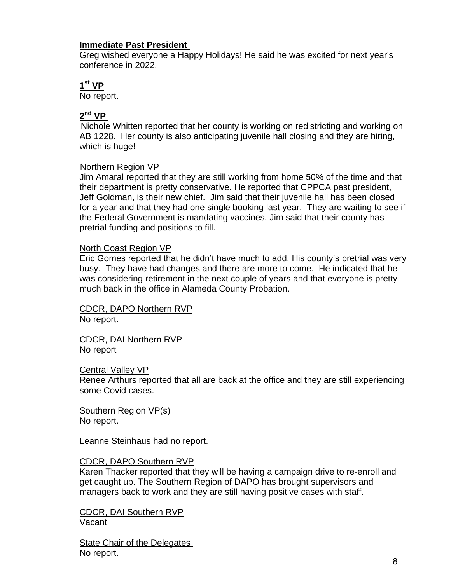### **Immediate Past President**

Greg wished everyone a Happy Holidays! He said he was excited for next year's conference in 2022.

## **1st VP**

No report.

# **2nd VP**

 Nichole Whitten reported that her county is working on redistricting and working on AB 1228. Her county is also anticipating juvenile hall closing and they are hiring, which is huge!

#### Northern Region VP

Jim Amaral reported that they are still working from home 50% of the time and that their department is pretty conservative. He reported that CPPCA past president, Jeff Goldman, is their new chief. Jim said that their juvenile hall has been closed for a year and that they had one single booking last year. They are waiting to see if the Federal Government is mandating vaccines. Jim said that their county has pretrial funding and positions to fill.

#### North Coast Region VP

Eric Gomes reported that he didn't have much to add. His county's pretrial was very busy. They have had changes and there are more to come. He indicated that he was considering retirement in the next couple of years and that everyone is pretty much back in the office in Alameda County Probation.

CDCR, DAPO Northern RVP No report.

CDCR, DAI Northern RVP No report

#### **Central Valley VP**

Renee Arthurs reported that all are back at the office and they are still experiencing some Covid cases.

Southern Region VP(s) No report.

Leanne Steinhaus had no report.

#### CDCR, DAPO Southern RVP

Karen Thacker reported that they will be having a campaign drive to re-enroll and get caught up. The Southern Region of DAPO has brought supervisors and managers back to work and they are still having positive cases with staff.

CDCR, DAI Southern RVP Vacant

State Chair of the Delegates No report.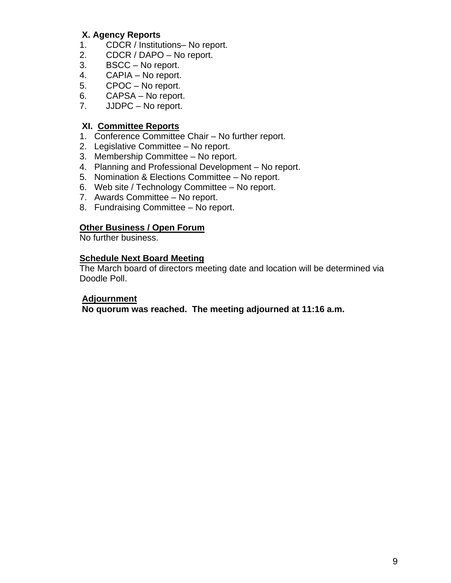# **X. Agency Reports**

- 1. CDCR / Institutions– No report.
- 2. CDCR / DAPO No report.
- 3. BSCC No report.
- 4. CAPIA No report.
- 5. CPOC No report.
- 6. CAPSA No report.
- 7. JJDPC No report.

### **XI. Committee Reports**

- 1. Conference Committee Chair No further report.
- 2. Legislative Committee No report.
- 3. Membership Committee No report.
- 4. Planning and Professional Development No report.
- 5. Nomination & Elections Committee No report.
- 6. Web site / Technology Committee No report.
- 7. Awards Committee No report.
- 8. Fundraising Committee No report.

#### **Other Business / Open Forum**

No further business.

#### **Schedule Next Board Meeting**

The March board of directors meeting date and location will be determined via Doodle Poll.

## **Adjournment**

 **No quorum was reached. The meeting adjourned at 11:16 a.m.**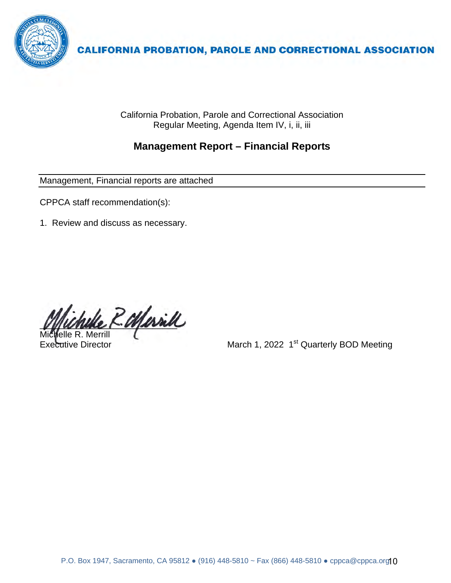

California Probation, Parole and Correctional Association Regular Meeting, Agenda Item IV, i, ii, iii

# **Management Report – Financial Reports**

Management, Financial reports are attached

CPPCA staff recommendation(s):

1. Review and discuss as necessary.

R. Marill elle R. Merrill

Executive Director **Executive Director** March 1, 2022 1<sup>st</sup> Quarterly BOD Meeting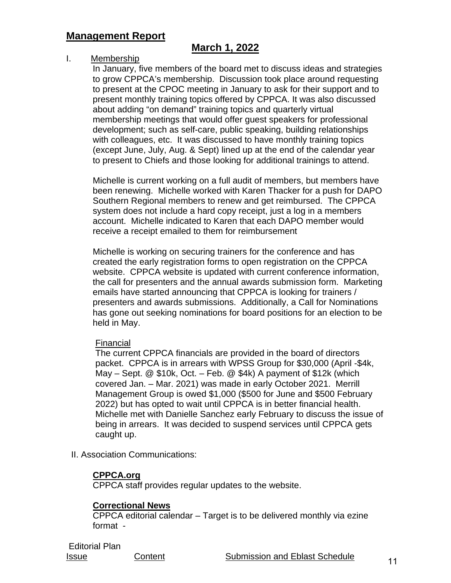# **Management Report**

# **March 1, 2022**

### I. Membership

In January, five members of the board met to discuss ideas and strategies to grow CPPCA's membership. Discussion took place around requesting to present at the CPOC meeting in January to ask for their support and to present monthly training topics offered by CPPCA. It was also discussed about adding "on demand" training topics and quarterly virtual membership meetings that would offer guest speakers for professional development; such as self-care, public speaking, building relationships with colleagues, etc. It was discussed to have monthly training topics (except June, July, Aug. & Sept) lined up at the end of the calendar year to present to Chiefs and those looking for additional trainings to attend.

Michelle is current working on a full audit of members, but members have been renewing. Michelle worked with Karen Thacker for a push for DAPO Southern Regional members to renew and get reimbursed. The CPPCA system does not include a hard copy receipt, just a log in a members account. Michelle indicated to Karen that each DAPO member would receive a receipt emailed to them for reimbursement

Michelle is working on securing trainers for the conference and has created the early registration forms to open registration on the CPPCA website. CPPCA website is updated with current conference information, the call for presenters and the annual awards submission form. Marketing emails have started announcing that CPPCA is looking for trainers / presenters and awards submissions. Additionally, a Call for Nominations has gone out seeking nominations for board positions for an election to be held in May.

#### Financial

The current CPPCA financials are provided in the board of directors packet. CPPCA is in arrears with WPSS Group for \$30,000 (April -\$4k, May – Sept. @ \$10k, Oct. – Feb. @ \$4k) A payment of \$12k (which covered Jan. – Mar. 2021) was made in early October 2021. Merrill Management Group is owed \$1,000 (\$500 for June and \$500 February 2022) but has opted to wait until CPPCA is in better financial health. Michelle met with Danielle Sanchez early February to discuss the issue of being in arrears. It was decided to suspend services until CPPCA gets caught up.

II. Association Communications:

## **CPPCA.org**

CPPCA staff provides regular updates to the website.

## **Correctional News**

CPPCA editorial calendar – Target is to be delivered monthly via ezine format -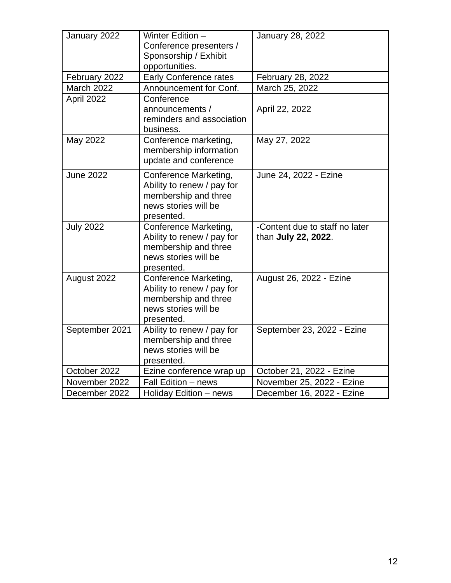| January 2022     | Winter Edition -<br>Conference presenters /<br>Sponsorship / Exhibit                                              | <b>January 28, 2022</b>                               |  |  |  |
|------------------|-------------------------------------------------------------------------------------------------------------------|-------------------------------------------------------|--|--|--|
|                  | opportunities.                                                                                                    |                                                       |  |  |  |
| February 2022    | <b>Early Conference rates</b>                                                                                     | February 28, 2022                                     |  |  |  |
| March 2022       | Announcement for Conf.                                                                                            | March 25, 2022                                        |  |  |  |
| April 2022       | Conference<br>announcements /<br>reminders and association<br>business.                                           | April 22, 2022                                        |  |  |  |
| May 2022         | Conference marketing,<br>membership information<br>update and conference                                          | May 27, 2022                                          |  |  |  |
| <b>June 2022</b> | Conference Marketing,<br>Ability to renew / pay for<br>membership and three<br>news stories will be<br>presented. | June 24, 2022 - Ezine                                 |  |  |  |
| <b>July 2022</b> | Conference Marketing,<br>Ability to renew / pay for<br>membership and three<br>news stories will be<br>presented. | -Content due to staff no later<br>than July 22, 2022. |  |  |  |
| August 2022      | Conference Marketing,<br>Ability to renew / pay for<br>membership and three<br>news stories will be<br>presented. | August 26, 2022 - Ezine                               |  |  |  |
| September 2021   | Ability to renew / pay for<br>membership and three<br>news stories will be<br>presented.                          | September 23, 2022 - Ezine                            |  |  |  |
| October 2022     | Ezine conference wrap up                                                                                          | October 21, 2022 - Ezine                              |  |  |  |
| November 2022    | Fall Edition - news                                                                                               | November 25, 2022 - Ezine                             |  |  |  |
| December 2022    | Holiday Edition - news                                                                                            | December 16, 2022 - Ezine                             |  |  |  |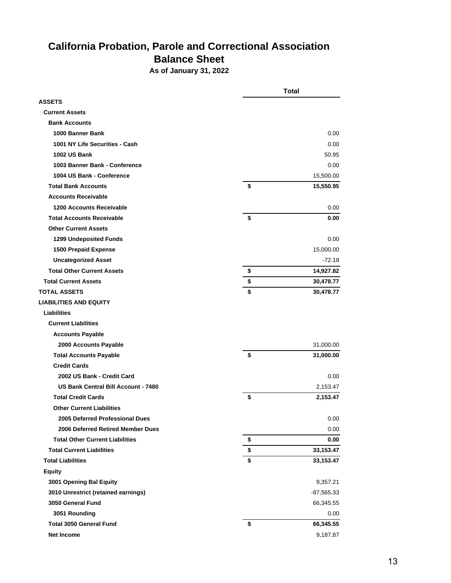# **California Probation, Parole and Correctional Association Balance Sheet**

**As of January 31, 2022**

|                                        | <b>Total</b>    |  |  |
|----------------------------------------|-----------------|--|--|
| <b>ASSETS</b>                          |                 |  |  |
| <b>Current Assets</b>                  |                 |  |  |
| <b>Bank Accounts</b>                   |                 |  |  |
| 1000 Banner Bank                       | 0.00            |  |  |
| 1001 NY Life Securities - Cash         | 0.00            |  |  |
| <b>1002 US Bank</b>                    | 50.95           |  |  |
| 1003 Banner Bank - Conference          | 0.00            |  |  |
| 1004 US Bank - Conference              | 15,500.00       |  |  |
| <b>Total Bank Accounts</b>             | \$<br>15,550.95 |  |  |
| <b>Accounts Receivable</b>             |                 |  |  |
| <b>1200 Accounts Receivable</b>        | 0.00            |  |  |
| <b>Total Accounts Receivable</b>       | \$<br>0.00      |  |  |
| <b>Other Current Assets</b>            |                 |  |  |
| 1299 Undeposited Funds                 | 0.00            |  |  |
| <b>1500 Prepaid Expense</b>            | 15,000.00       |  |  |
| <b>Uncategorized Asset</b>             | $-72.18$        |  |  |
| <b>Total Other Current Assets</b>      | \$<br>14,927.82 |  |  |
| <b>Total Current Assets</b>            | \$<br>30,478.77 |  |  |
| <b>TOTAL ASSETS</b>                    | \$<br>30,478.77 |  |  |
| <b>LIABILITIES AND EQUITY</b>          |                 |  |  |
| <b>Liabilities</b>                     |                 |  |  |
| <b>Current Liabilities</b>             |                 |  |  |
| <b>Accounts Payable</b>                |                 |  |  |
| 2000 Accounts Payable                  | 31,000.00       |  |  |
| <b>Total Accounts Payable</b>          | \$<br>31,000.00 |  |  |
| <b>Credit Cards</b>                    |                 |  |  |
| 2002 US Bank - Credit Card             | 0.00            |  |  |
| US Bank Central Bill Account - 7480    | 2,153.47        |  |  |
| <b>Total Credit Cards</b>              | \$<br>2,153.47  |  |  |
| <b>Other Current Liabilities</b>       |                 |  |  |
| 2005 Deferred Professional Dues        | 0.00            |  |  |
| 2006 Deferred Retired Member Dues      | 0.00            |  |  |
| <b>Total Other Current Liabilities</b> | \$<br>0.00      |  |  |
| <b>Total Current Liabilities</b>       | \$<br>33,153.47 |  |  |
| <b>Total Liabilities</b>               | \$<br>33,153.47 |  |  |
| <b>Equity</b>                          |                 |  |  |
| 3001 Opening Bal Equity                | 9,357.21        |  |  |
| 3010 Unrestrict (retained earnings)    | -87,565.33      |  |  |
| 3050 General Fund                      | 66,345.55       |  |  |
| 3051 Rounding                          | 0.00            |  |  |
| <b>Total 3050 General Fund</b>         | \$<br>66,345.55 |  |  |
| <b>Net Income</b>                      | 9,187.87        |  |  |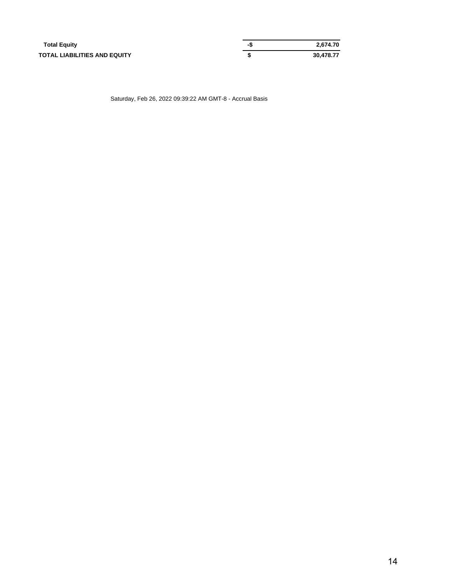| <b>Total Equity</b>          | -3 | 2.674.70  |
|------------------------------|----|-----------|
| TOTAL LIABILITIES AND EQUITY |    | 30.478.77 |

Saturday, Feb 26, 2022 09:39:22 AM GMT-8 - Accrual Basis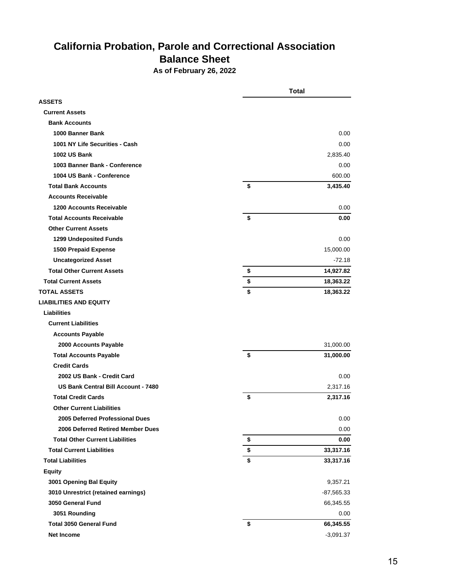# **California Probation, Parole and Correctional Association Balance Sheet**

**As of February 26, 2022**

|                                        | <b>Total</b>    |
|----------------------------------------|-----------------|
| <b>ASSETS</b>                          |                 |
| <b>Current Assets</b>                  |                 |
| <b>Bank Accounts</b>                   |                 |
| 1000 Banner Bank                       | 0.00            |
| 1001 NY Life Securities - Cash         | 0.00            |
| <b>1002 US Bank</b>                    | 2,835.40        |
| 1003 Banner Bank - Conference          | 0.00            |
| 1004 US Bank - Conference              | 600.00          |
| <b>Total Bank Accounts</b>             | \$<br>3,435.40  |
| <b>Accounts Receivable</b>             |                 |
| <b>1200 Accounts Receivable</b>        | 0.00            |
| <b>Total Accounts Receivable</b>       | \$<br>0.00      |
| <b>Other Current Assets</b>            |                 |
| 1299 Undeposited Funds                 | 0.00            |
| <b>1500 Prepaid Expense</b>            | 15,000.00       |
| <b>Uncategorized Asset</b>             | $-72.18$        |
| <b>Total Other Current Assets</b>      | \$<br>14,927.82 |
| <b>Total Current Assets</b>            | \$<br>18,363.22 |
| <b>TOTAL ASSETS</b>                    | \$<br>18,363.22 |
| <b>LIABILITIES AND EQUITY</b>          |                 |
| <b>Liabilities</b>                     |                 |
| <b>Current Liabilities</b>             |                 |
| <b>Accounts Payable</b>                |                 |
| 2000 Accounts Payable                  | 31,000.00       |
| <b>Total Accounts Payable</b>          | \$<br>31,000.00 |
| <b>Credit Cards</b>                    |                 |
| 2002 US Bank - Credit Card             | 0.00            |
| US Bank Central Bill Account - 7480    | 2,317.16        |
| <b>Total Credit Cards</b>              | \$<br>2,317.16  |
| <b>Other Current Liabilities</b>       |                 |
| 2005 Deferred Professional Dues        | 0.00            |
| 2006 Deferred Retired Member Dues      | 0.00            |
| <b>Total Other Current Liabilities</b> | \$<br>0.00      |
| <b>Total Current Liabilities</b>       | \$<br>33,317.16 |
| <b>Total Liabilities</b>               | \$<br>33,317.16 |
| <b>Equity</b>                          |                 |
| 3001 Opening Bal Equity                | 9,357.21        |
| 3010 Unrestrict (retained earnings)    | -87,565.33      |
| 3050 General Fund                      | 66,345.55       |
| 3051 Rounding                          | 0.00            |
| <b>Total 3050 General Fund</b>         | \$<br>66,345.55 |
| Net Income                             | $-3,091.37$     |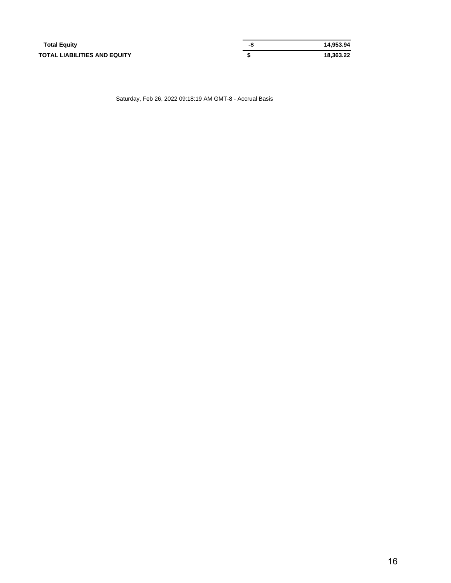| <b>Total Equity</b>          | -\$ | 14.953.94 |
|------------------------------|-----|-----------|
| TOTAL LIABILITIES AND EQUITY |     | 18.363.22 |

Saturday, Feb 26, 2022 09:18:19 AM GMT-8 - Accrual Basis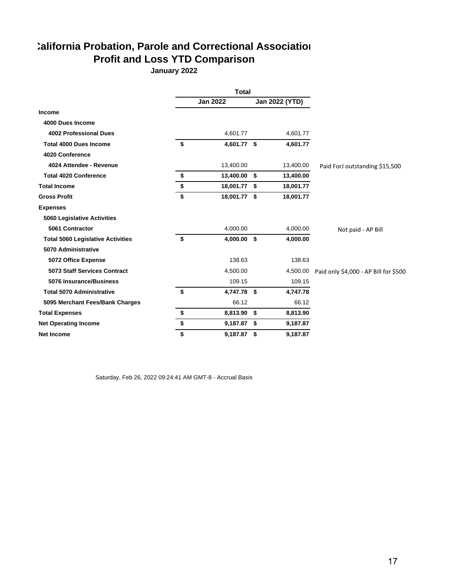# **California Probation, Parole and Correctional Association Profit and Loss YTD Comparison**

**January 2022**

|                                          | <b>Total</b>       |      |                |                                       |
|------------------------------------------|--------------------|------|----------------|---------------------------------------|
|                                          | <b>Jan 2022</b>    |      | Jan 2022 (YTD) |                                       |
| <b>Income</b>                            |                    |      |                |                                       |
| 4000 Dues Income                         |                    |      |                |                                       |
| 4002 Professional Dues                   | 4,601.77           |      | 4,601.77       |                                       |
| <b>Total 4000 Dues Income</b>            | \$<br>4,601.77 \$  |      | 4,601.77       |                                       |
| 4020 Conference                          |                    |      |                |                                       |
| 4024 Attendee - Revenue                  | 13,400.00          |      | 13,400.00      | Paid ForJ outstanding \$15,500        |
| <b>Total 4020 Conference</b>             | \$<br>13,400.00    | - \$ | 13,400.00      |                                       |
| <b>Total Income</b>                      | \$<br>18,001.77 \$ |      | 18,001.77      |                                       |
| <b>Gross Profit</b>                      | \$<br>18,001.77 \$ |      | 18,001.77      |                                       |
| <b>Expenses</b>                          |                    |      |                |                                       |
| <b>5060 Legislative Activities</b>       |                    |      |                |                                       |
| 5061 Contractor                          | 4,000.00           |      | 4,000.00       | Not paid - AP Bill                    |
| <b>Total 5060 Legislative Activities</b> | \$<br>4,000.00 \$  |      | 4,000.00       |                                       |
| 5070 Administrative                      |                    |      |                |                                       |
| 5072 Office Expense                      | 138.63             |      | 138.63         |                                       |
| 5073 Staff Services Contract             | 4,500.00           |      | 4,500.00       | Paid only \$4,000 - AP Bill for \$500 |
| 5076 Insurance/Business                  | 109.15             |      | 109.15         |                                       |
| <b>Total 5070 Administrative</b>         | \$<br>4,747.78 \$  |      | 4,747.78       |                                       |
| 5095 Merchant Fees/Bank Charges          | 66.12              |      | 66.12          |                                       |
| <b>Total Expenses</b>                    | \$<br>8,813.90 \$  |      | 8,813.90       |                                       |
| <b>Net Operating Income</b>              | \$<br>9,187.87 \$  |      | 9,187.87       |                                       |
| <b>Net Income</b>                        | \$<br>9,187.87 \$  |      | 9,187.87       |                                       |

Saturday, Feb 26, 2022 09:24:41 AM GMT-8 - Accrual Basis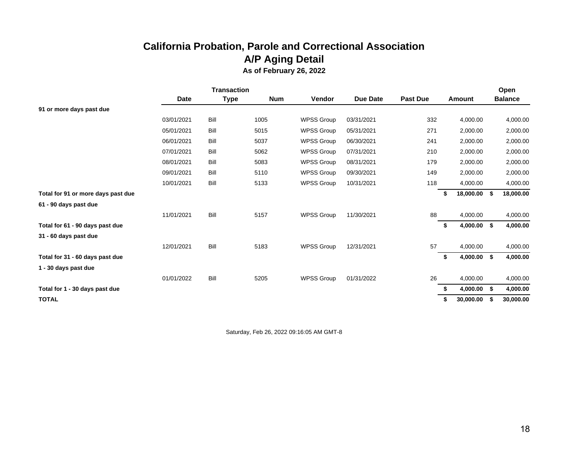# **California Probation, Parole and Correctional Association A/P Aging Detail As of February 26, 2022**

|                                    | <b>Transaction</b> |      |            |                   |                 |                 |                     |      | Open           |
|------------------------------------|--------------------|------|------------|-------------------|-----------------|-----------------|---------------------|------|----------------|
|                                    | <b>Date</b>        | Type | <b>Num</b> | Vendor            | <b>Due Date</b> | <b>Past Due</b> | Amount              |      | <b>Balance</b> |
| 91 or more days past due           |                    |      |            |                   |                 |                 |                     |      |                |
|                                    | 03/01/2021         | Bill | 1005       | <b>WPSS Group</b> | 03/31/2021      | 332             | 4,000.00            |      | 4,000.00       |
|                                    | 05/01/2021         | Bill | 5015       | <b>WPSS Group</b> | 05/31/2021      | 271             | 2,000.00            |      | 2,000.00       |
|                                    | 06/01/2021         | Bill | 5037       | <b>WPSS Group</b> | 06/30/2021      | 241             | 2,000.00            |      | 2,000.00       |
|                                    | 07/01/2021         | Bill | 5062       | <b>WPSS Group</b> | 07/31/2021      | 210             | 2,000.00            |      | 2,000.00       |
|                                    | 08/01/2021         | Bill | 5083       | <b>WPSS Group</b> | 08/31/2021      | 179             | 2,000.00            |      | 2,000.00       |
|                                    | 09/01/2021         | Bill | 5110       | <b>WPSS Group</b> | 09/30/2021      | 149             | 2,000.00            |      | 2,000.00       |
|                                    | 10/01/2021         | Bill | 5133       | <b>WPSS Group</b> | 10/31/2021      | 118             | 4,000.00            |      | 4,000.00       |
| Total for 91 or more days past due |                    |      |            |                   |                 |                 | 18,000.00 \$        |      | 18,000.00      |
| 61 - 90 days past due              |                    |      |            |                   |                 |                 |                     |      |                |
|                                    | 11/01/2021         | Bill | 5157       | <b>WPSS Group</b> | 11/30/2021      | 88              | 4,000.00            |      | 4,000.00       |
| Total for 61 - 90 days past due    |                    |      |            |                   |                 |                 | 4,000.00 \$<br>\$   |      | 4,000.00       |
| 31 - 60 days past due              |                    |      |            |                   |                 |                 |                     |      |                |
|                                    | 12/01/2021         | Bill | 5183       | <b>WPSS Group</b> | 12/31/2021      | 57              | 4,000.00            |      | 4,000.00       |
| Total for 31 - 60 days past due    |                    |      |            |                   |                 |                 | $4,000.00$ \$<br>\$ |      | 4,000.00       |
| 1 - 30 days past due               |                    |      |            |                   |                 |                 |                     |      |                |
|                                    | 01/01/2022         | Bill | 5205       | <b>WPSS Group</b> | 01/31/2022      | 26              | 4,000.00            |      | 4,000.00       |
| Total for 1 - 30 days past due     |                    |      |            |                   |                 |                 | 4,000.00            | - \$ | 4,000.00       |
| <b>TOTAL</b>                       |                    |      |            |                   |                 |                 | 30,000.00           |      | 30,000.00      |

Saturday, Feb 26, 2022 09:16:05 AM GMT-8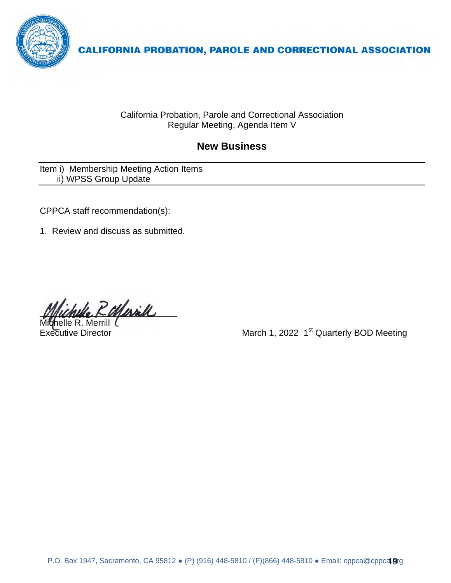

California Probation, Parole and Correctional Association Regular Meeting, Agenda Item V

# **New Business**

Item i) Membership Meeting Action Items ii) WPSS Group Update

CPPCA staff recommendation(s):

1. Review and discuss as submitted.

R. Marill

Michelle R. Merrill (

March 1, 2022 1<sup>st</sup> Quarterly BOD Meeting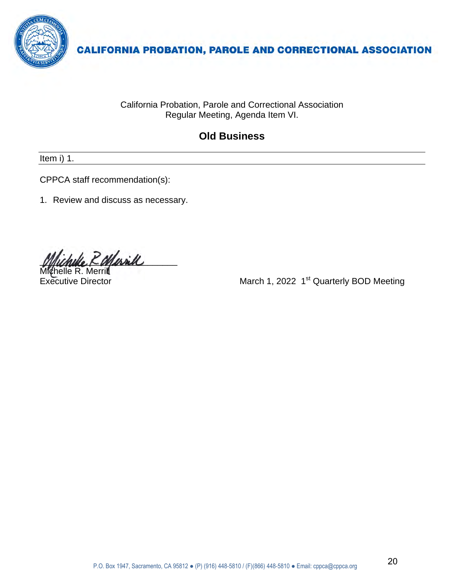

California Probation, Parole and Correctional Association Regular Meeting, Agenda Item VI.

# **Old Business**

Item i) 1.

CPPCA staff recommendation(s):

1. Review and discuss as necessary.

2 Marill

Michelle R. Merrill

Executive Director **March 1, 2022 1<sup>st</sup> Quarterly BOD Meeting**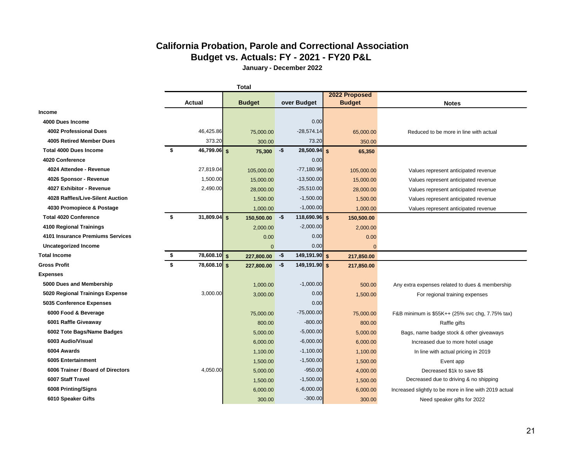# **California Probation, Parole and Correctional Association Budget vs. Actuals: FY - 2021 - FY20 P&L**

**January - December 2022**

|                                   | <b>Total</b> |                        |  |               |        |                 |                                |              |                                                        |
|-----------------------------------|--------------|------------------------|--|---------------|--------|-----------------|--------------------------------|--------------|--------------------------------------------------------|
|                                   |              | Actual                 |  | <b>Budget</b> |        | over Budget     | 2022 Proposed<br><b>Budget</b> |              | <b>Notes</b>                                           |
| Income                            |              |                        |  |               |        |                 |                                |              |                                                        |
| 4000 Dues Income                  |              |                        |  |               |        | 0.00            |                                |              |                                                        |
| 4002 Professional Dues            |              | 46,425.86              |  | 75,000.00     |        | $-28,574.14$    |                                | 65,000.00    | Reduced to be more in line with actual                 |
| <b>4005 Retired Member Dues</b>   |              | 373.20                 |  | 300.00        |        | 73.20           |                                | 350.00       |                                                        |
| <b>Total 4000 Dues Income</b>     | \$           | 46,799.06 \$           |  | 75,300        | $-$ \$ | $28,500.94$ \$  |                                | 65,350       |                                                        |
| 4020 Conference                   |              |                        |  |               |        | 0.00            |                                |              |                                                        |
| 4024 Attendee - Revenue           |              | 27,819.04              |  | 105,000.00    |        | $-77,180.96$    |                                | 105,000.00   | Values represent anticipated revenue                   |
| 4026 Sponsor - Revenue            |              | 1,500.00               |  | 15,000.00     |        | $-13,500.00$    |                                | 15,000.00    | Values represent anticipated revenue                   |
| 4027 Exhibitor - Revenue          |              | 2,490.00               |  | 28,000.00     |        | $-25,510.00$    |                                | 28,000.00    | Values represent anticipated revenue                   |
| 4028 Raffles/Live-Silent Auction  |              |                        |  | 1,500.00      |        | $-1,500.00$     |                                | 1,500.00     | Values represent anticipated revenue                   |
| 4030 Promopiece & Postage         |              |                        |  | 1,000.00      |        | $-1,000.00$     |                                | 1,000.00     | Values represent anticipated revenue                   |
| <b>Total 4020 Conference</b>      | \$           | $31,809.04$ \$         |  | 150,500.00    | -\$    | $118,690.96$ \$ |                                | 150,500.00   |                                                        |
| 4100 Regional Trainings           |              |                        |  | 2,000.00      |        | $-2,000.00$     |                                | 2,000.00     |                                                        |
| 4101 Insurance Premiums Services  |              |                        |  | 0.00          |        | 0.00            |                                | 0.00         |                                                        |
| <b>Uncategorized Income</b>       |              |                        |  | $\mathbf{0}$  |        | 0.00            |                                | $\mathbf{0}$ |                                                        |
| <b>Total Income</b>               | \$           | 78,608.10 <sup>S</sup> |  | 227,800.00    | -\$    | 149,191.90 \$   |                                | 217,850.00   |                                                        |
| <b>Gross Profit</b>               | \$           | 78,608.10 \$           |  | 227,800.00    | -\$    | 149,191.90 \$   |                                | 217,850.00   |                                                        |
| <b>Expenses</b>                   |              |                        |  |               |        |                 |                                |              |                                                        |
| 5000 Dues and Membership          |              |                        |  | 1,000.00      |        | $-1,000.00$     |                                | 500.00       | Any extra expenses related to dues & membership        |
| 5020 Regional Trainings Expense   |              | 3,000.00               |  | 3,000.00      |        | 0.00            |                                | 1,500.00     | For regional training expenses                         |
| 5035 Conference Expenses          |              |                        |  |               |        | 0.00            |                                |              |                                                        |
| 6000 Food & Beverage              |              |                        |  | 75,000.00     |        | $-75,000.00$    |                                | 75,000.00    | F&B minimum is \$55K++ (25% svc chg, 7.75% tax)        |
| 6001 Raffle Giveaway              |              |                        |  | 800.00        |        | $-800.00$       |                                | 800.00       | Raffle gifts                                           |
| 6002 Tote Bags/Name Badges        |              |                        |  | 5,000.00      |        | $-5,000.00$     |                                | 5,000.00     | Bags, name badge stock & other giveaways               |
| 6003 Audio/Visual                 |              |                        |  | 6,000.00      |        | $-6,000.00$     |                                | 6,000.00     | Increased due to more hotel usage                      |
| 6004 Awards                       |              |                        |  | 1,100.00      |        | $-1,100.00$     |                                | 1,100.00     | In line with actual pricing in 2019                    |
| 6005 Entertainment                |              |                        |  | 1,500.00      |        | $-1,500.00$     |                                | 1,500.00     | Event app                                              |
| 6006 Trainer / Board of Directors |              | 4,050.00               |  | 5,000.00      |        | $-950.00$       |                                | 4,000.00     | Decreased \$1k to save \$\$                            |
| 6007 Staff Travel                 |              |                        |  | 1,500.00      |        | $-1,500.00$     |                                | 1,500.00     | Decreased due to driving & no shipping                 |
| 6008 Printing/Signs               |              |                        |  | 6,000.00      |        | $-6,000.00$     |                                | 6,000.00     | Increased slightly to be more in line with 2019 actual |
| 6010 Speaker Gifts                |              |                        |  | 300.00        |        | $-300.00$       |                                | 300.00       | Need speaker gifts for 2022                            |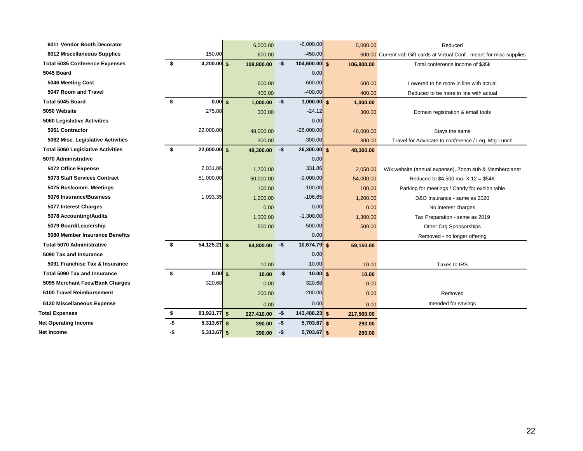| 6011 Vendor Booth Decorator              |     |                         | 6,000.00   | $-6,000.00$            |            | 5,000.00   | Reduced                                                                   |
|------------------------------------------|-----|-------------------------|------------|------------------------|------------|------------|---------------------------------------------------------------------------|
| 6012 Miscellaneous Supplies              |     | 150.00                  | 600.00     | $-450.00$              |            |            | 600.00 Current val: Gift cards at Virtual Conf. - meant for misc supplies |
| <b>Total 5035 Conference Expenses</b>    | \$  | 4,200.00 $s$            | 108,800.00 | $104,600.00$ \$<br>-\$ |            | 106,800.00 | Total conference income of \$35k                                          |
| 5045 Board                               |     |                         |            | 0.00                   |            |            |                                                                           |
| 5046 Meeting Cost                        |     |                         | 600.00     | $-600.00$              |            | 600.00     | Lowered to be more in line with actual                                    |
| 5047 Room and Travel                     |     |                         | 400.00     | $-400.00$              |            | 400.00     | Reduced to be more in line with actual                                    |
| Total 5045 Board                         | \$  | $0.00$ \$               | 1,000.00   | -\$<br>$1,000.00$ \$   |            | 1,000.00   |                                                                           |
| 5050 Website                             |     | 275.88                  | 300.00     | $-24.12$               |            | 300.00     | Domain registration & email tools                                         |
| <b>5060 Legislative Activities</b>       |     |                         |            | 0.00                   |            |            |                                                                           |
| 5061 Contractor                          |     | 22,000.00               | 48,000.00  | $-26,000.00$           |            | 48,000.00  | Stays the same                                                            |
| 5062 Misc. Legislative Activities        |     |                         | 300.00     | $-300.00$              |            | 300.00     | Travel for Advocate to conference / Leg. Mtg Lunch                        |
| <b>Total 5060 Legislative Activities</b> | \$  | $22,000.00$ \$          | 48,300.00  | -\$<br>$26,300.00$ \$  |            | 48,300.00  |                                                                           |
| 5070 Administrative                      |     |                         |            | 0.00                   |            |            |                                                                           |
| 5072 Office Expense                      |     | 2,031.86                | 1,700.00   | 331.86                 |            | 2,050.00   | Wix website (annual expense), Zoom sub & Memberplanet                     |
| 5073 Staff Services Contract             |     | 51,000.00               | 60,000.00  | $-9,000.00$            |            | 54,000.00  | Reduced to $$4,500$ mo. $X$ 12 = $$54K$                                   |
| 5075 Bus/comm. Meetings                  |     |                         | 100.00     | $-100.00$              |            | 100.00     | Parking for meetings / Candy for exhibit table                            |
| 5076 Insurance/Business                  |     | 1,093.35                | 1,200.00   | $-106.65$              |            | 1,200.00   | D&O Insurance - same as 2020                                              |
| 5077 Interest Charges                    |     |                         | 0.00       | 0.00                   |            | 0.00       | No interest charges                                                       |
| 5078 Accounting/Audits                   |     |                         | 1,300.00   | $-1,300.00$            |            | 1,300.00   | Tax Preparation - same as 2019                                            |
| 5079 Board/Leadership                    |     |                         | 500.00     | $-500.00$              |            | 500.00     | Other Org Sponsorships                                                    |
| 5080 Member Insurance Benefits           |     |                         |            | 0.00                   |            |            | Removed - no longer offering                                              |
| <b>Total 5070 Administrative</b>         | \$  | $54,125.21$ \$          | 64,800.00  | $10,674.79$ \$<br>-\$  |            | 59,150.00  |                                                                           |
| 5090 Tax and Insurance                   |     |                         |            | 0.00                   |            |            |                                                                           |
| 5091 Franchise Tax & Insurance           |     |                         | 10.00      | $-10.00$               |            | 10.00      | Taxes to IRS                                                              |
| <b>Total 5090 Tax and Insurance</b>      | \$  | $0.00$ s                | 10.00      | $-$ \$                 | $10.00$ \$ | 10.00      |                                                                           |
| 5095 Merchant Fees/Bank Charges          |     | 320.68                  | 0.00       | 320.68                 |            | 0.00       |                                                                           |
| 5100 Travel Reimbursement                |     |                         | 200.00     | $-200.00$              |            | 0.00       | Removed                                                                   |
| 5120 Miscellaneous Expense               |     |                         | 0.00       | 0.00                   |            | 0.00       | Intended for savings                                                      |
| <b>Total Expenses</b>                    | \$  | 83,921.77 $\frac{1}{5}$ | 227,410.00 | $143,488.23$ \$<br>-\$ |            | 217,560.00 |                                                                           |
| <b>Net Operating Income</b>              | -\$ | $5,313.67$ \$           | 390.00     | $5,703.67$ \$<br>-\$   |            | 290.00     |                                                                           |
| Net Income                               | -\$ | $5,313.67$ \$           | 390.00     | $5,703.67$ \$<br>-\$   |            | 290.00     |                                                                           |
|                                          |     |                         |            |                        |            |            |                                                                           |